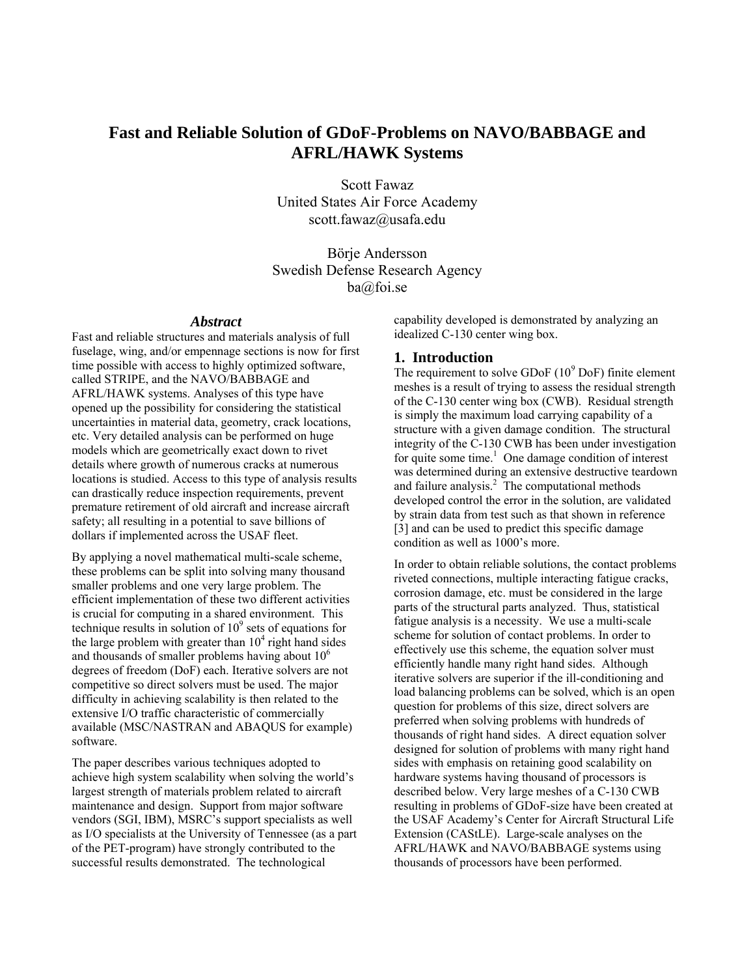# **Fast and Reliable Solution of GDoF-Problems on NAVO/BABBAGE and AFRL/HAWK Systems**

Scott Fawaz United States Air Force Academy scott.fawaz@usafa.edu

Börje Andersson Swedish Defense Research Agency ba@foi.se

### *Abstract*

Fast and reliable structures and materials analysis of full fuselage, wing, and/or empennage sections is now for first time possible with access to highly optimized software, called STRIPE, and the NAVO/BABBAGE and AFRL/HAWK systems. Analyses of this type have opened up the possibility for considering the statistical uncertainties in material data, geometry, crack locations, etc. Very detailed analysis can be performed on huge models which are geometrically exact down to rivet details where growth of numerous cracks at numerous locations is studied. Access to this type of analysis results can drastically reduce inspection requirements, prevent premature retirement of old aircraft and increase aircraft safety; all resulting in a potential to save billions of dollars if implemented across the USAF fleet.

By applying a novel mathematical multi-scale scheme, these problems can be split into solving many thousand smaller problems and one very large problem. The efficient implementation of these two different activities is crucial for computing in a shared environment. This technique results in solution of  $10<sup>9</sup>$  sets of equations for the large problem with greater than  $10<sup>4</sup>$  right hand sides and thousands of smaller problems having about  $10<sup>6</sup>$ degrees of freedom (DoF) each. Iterative solvers are not competitive so direct solvers must be used. The major difficulty in achieving scalability is then related to the extensive I/O traffic characteristic of commercially available (MSC/NASTRAN and ABAQUS for example) software.

The paper describes various techniques adopted to achieve high system scalability when solving the world's largest strength of materials problem related to aircraft maintenance and design. Support from major software vendors (SGI, IBM), MSRC's support specialists as well as I/O specialists at the University of Tennessee (as a part of the PET-program) have strongly contributed to the successful results demonstrated. The technological

capability developed is demonstrated by analyzing an idealized C-130 center wing box.

### **1. Introduction**

The requirement to solve GDoF  $(10^9 \text{ DoF})$  finite element meshes is a result of trying to assess the residual strength of the C-130 center wing box (CWB). Residual strength is simply the maximum load carrying capability of a structure with a given damage condition. The structural integrity of the C-130 CWB has been under investigation for quite some time.<sup>1</sup> One damage condition of interest was determined during an extensive destructive teardown and failure analysis. $2$  The computational methods developed control the error in the solution, are validated by strain data from test such as that shown in reference [3] and can be used to predict this specific damage condition as well as 1000's more.

In order to obtain reliable solutions, the contact problems riveted connections, multiple interacting fatigue cracks, corrosion damage, etc. must be considered in the large parts of the structural parts analyzed. Thus, statistical fatigue analysis is a necessity. We use a multi-scale scheme for solution of contact problems. In order to effectively use this scheme, the equation solver must efficiently handle many right hand sides. Although iterative solvers are superior if the ill-conditioning and load balancing problems can be solved, which is an open question for problems of this size, direct solvers are preferred when solving problems with hundreds of thousands of right hand sides. A direct equation solver designed for solution of problems with many right hand sides with emphasis on retaining good scalability on hardware systems having thousand of processors is described below. Very large meshes of a C-130 CWB resulting in problems of GDoF-size have been created at the USAF Academy's Center for Aircraft Structural Life Extension (CAStLE). Large-scale analyses on the AFRL/HAWK and NAVO/BABBAGE systems using thousands of processors have been performed.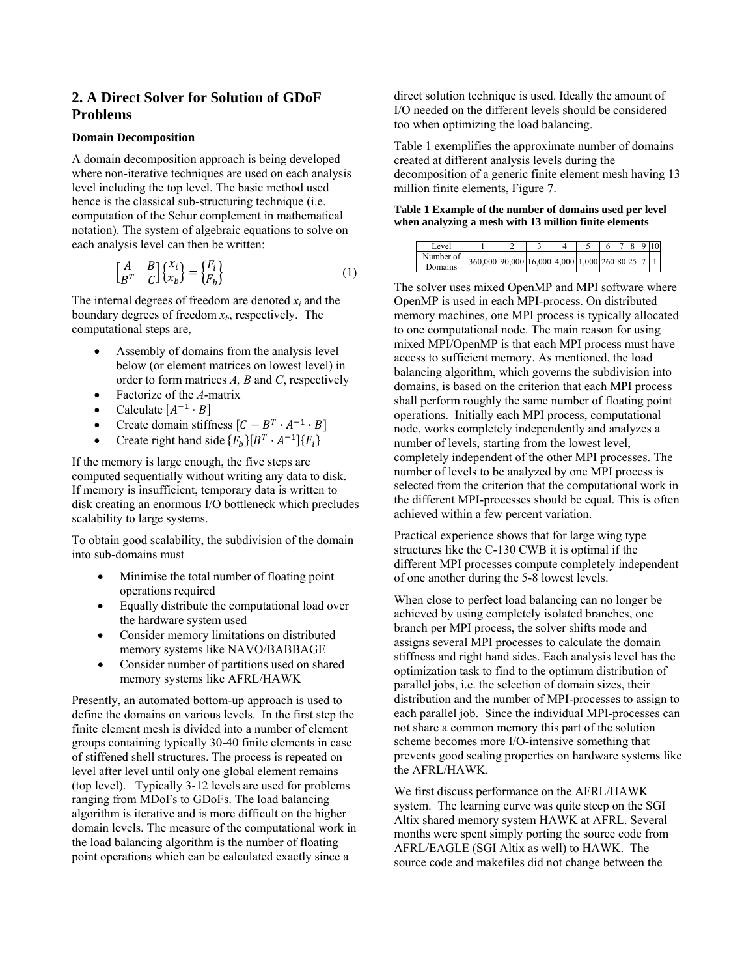# **2. A Direct Solver for Solution of GDoF Problems**

### **Domain Decomposition**

A domain decomposition approach is being developed where non-iterative techniques are used on each analysis level including the top level. The basic method used hence is the classical sub-structuring technique (i.e. computation of the Schur complement in mathematical notation). The system of algebraic equations to solve on each analysis level can then be written:

$$
\begin{bmatrix} A & B \\ B^T & C \end{bmatrix} \begin{Bmatrix} x_i \\ x_b \end{Bmatrix} = \begin{Bmatrix} F_i \\ F_b \end{Bmatrix}
$$
 (1)

The internal degrees of freedom are denoted *xi* and the boundary degrees of freedom  $x<sub>b</sub>$ , respectively. The computational steps are,

- Assembly of domains from the analysis level below (or element matrices on lowest level) in order to form matrices *A, B* and *C*, respectively
- Factorize of the *A*-matrix
- Calculate  $[A^{-1} \cdot B]$
- Create domain stiffness  $[C B^T \cdot A^{-1} \cdot B]$
- Create right hand side  ${F_h}{B^T \cdot A^{-1}}{F_i}$

If the memory is large enough, the five steps are computed sequentially without writing any data to disk. If memory is insufficient, temporary data is written to disk creating an enormous I/O bottleneck which precludes scalability to large systems.

To obtain good scalability, the subdivision of the domain into sub-domains must

- Minimise the total number of floating point operations required
- Equally distribute the computational load over the hardware system used
- Consider memory limitations on distributed memory systems like NAVO/BABBAGE
- Consider number of partitions used on shared memory systems like AFRL/HAWK

Presently, an automated bottom-up approach is used to define the domains on various levels. In the first step the finite element mesh is divided into a number of element groups containing typically 30-40 finite elements in case of stiffened shell structures. The process is repeated on level after level until only one global element remains (top level). Typically 3-12 levels are used for problems ranging from MDoFs to GDoFs. The load balancing algorithm is iterative and is more difficult on the higher domain levels. The measure of the computational work in the load balancing algorithm is the number of floating point operations which can be calculated exactly since a

direct solution technique is used. Ideally the amount of I/O needed on the different levels should be considered too when optimizing the load balancing.

Table 1 exemplifies the approximate number of domains created at different analysis levels during the decomposition of a generic finite element mesh having 13 million finite elements, Figure 7.

#### **Table 1 Example of the number of domains used per level when analyzing a mesh with 13 million finite elements**

| Level                |                                                 |  |  |  |  | 78910 |
|----------------------|-------------------------------------------------|--|--|--|--|-------|
| Number of<br>Domains | 360,000 90,000 16,000 4,000 1,000 260 80 25 7 1 |  |  |  |  |       |

The solver uses mixed OpenMP and MPI software where OpenMP is used in each MPI-process. On distributed memory machines, one MPI process is typically allocated to one computational node. The main reason for using mixed MPI/OpenMP is that each MPI process must have access to sufficient memory. As mentioned, the load balancing algorithm, which governs the subdivision into domains, is based on the criterion that each MPI process shall perform roughly the same number of floating point operations. Initially each MPI process, computational node, works completely independently and analyzes a number of levels, starting from the lowest level, completely independent of the other MPI processes. The number of levels to be analyzed by one MPI process is selected from the criterion that the computational work in the different MPI-processes should be equal. This is often achieved within a few percent variation.

Practical experience shows that for large wing type structures like the C-130 CWB it is optimal if the different MPI processes compute completely independent of one another during the 5-8 lowest levels.

When close to perfect load balancing can no longer be achieved by using completely isolated branches, one branch per MPI process, the solver shifts mode and assigns several MPI processes to calculate the domain stiffness and right hand sides. Each analysis level has the optimization task to find to the optimum distribution of parallel jobs, i.e. the selection of domain sizes, their distribution and the number of MPI-processes to assign to each parallel job. Since the individual MPI-processes can not share a common memory this part of the solution scheme becomes more I/O-intensive something that prevents good scaling properties on hardware systems like the AFRL/HAWK.

We first discuss performance on the AFRL/HAWK system. The learning curve was quite steep on the SGI Altix shared memory system HAWK at AFRL. Several months were spent simply porting the source code from AFRL/EAGLE (SGI Altix as well) to HAWK. The source code and makefiles did not change between the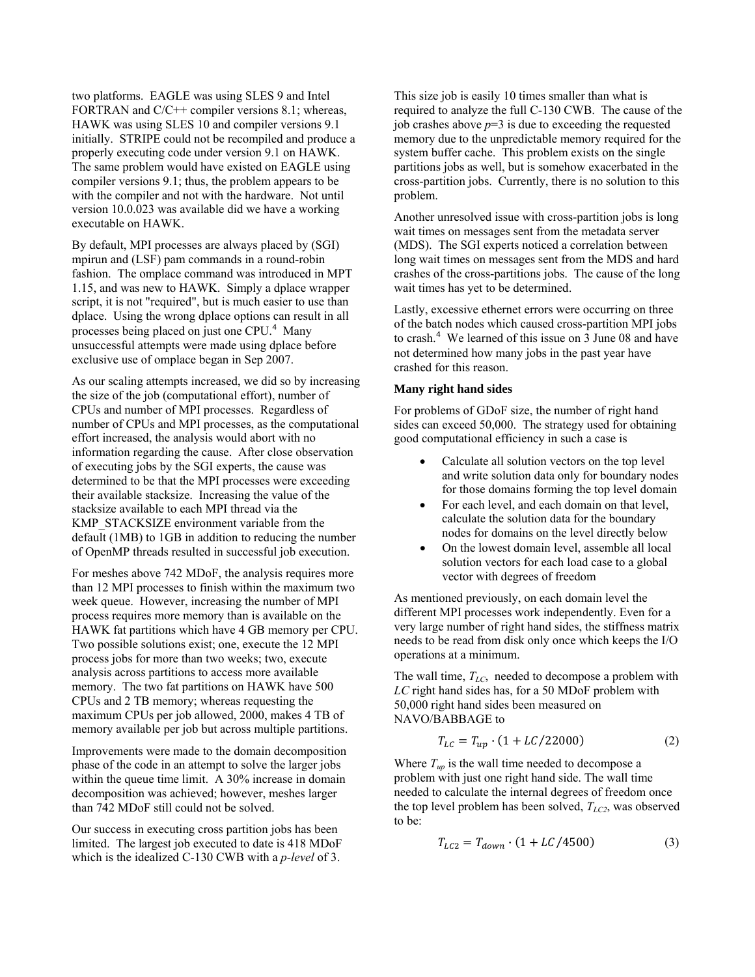two platforms. EAGLE was using SLES 9 and Intel FORTRAN and C/C++ compiler versions 8.1; whereas, HAWK was using SLES 10 and compiler versions 9.1 initially. STRIPE could not be recompiled and produce a properly executing code under version 9.1 on HAWK. The same problem would have existed on EAGLE using compiler versions 9.1; thus, the problem appears to be with the compiler and not with the hardware. Not until version 10.0.023 was available did we have a working executable on HAWK.

By default, MPI processes are always placed by (SGI) mpirun and (LSF) pam commands in a round-robin fashion. The omplace command was introduced in MPT 1.15, and was new to HAWK. Simply a dplace wrapper script, it is not "required", but is much easier to use than dplace. Using the wrong dplace options can result in all processes being placed on just one CPU.<sup>4</sup> Many unsuccessful attempts were made using dplace before exclusive use of omplace began in Sep 2007.

As our scaling attempts increased, we did so by increasing the size of the job (computational effort), number of CPUs and number of MPI processes. Regardless of number of CPUs and MPI processes, as the computational effort increased, the analysis would abort with no information regarding the cause. After close observation of executing jobs by the SGI experts, the cause was determined to be that the MPI processes were exceeding their available stacksize. Increasing the value of the stacksize available to each MPI thread via the KMP\_STACKSIZE environment variable from the default (1MB) to 1GB in addition to reducing the number of OpenMP threads resulted in successful job execution.

For meshes above 742 MDoF, the analysis requires more than 12 MPI processes to finish within the maximum two week queue. However, increasing the number of MPI process requires more memory than is available on the HAWK fat partitions which have 4 GB memory per CPU. Two possible solutions exist; one, execute the 12 MPI process jobs for more than two weeks; two, execute analysis across partitions to access more available memory. The two fat partitions on HAWK have 500 CPUs and 2 TB memory; whereas requesting the maximum CPUs per job allowed, 2000, makes 4 TB of memory available per job but across multiple partitions.

Improvements were made to the domain decomposition phase of the code in an attempt to solve the larger jobs within the queue time limit. A 30% increase in domain decomposition was achieved; however, meshes larger than 742 MDoF still could not be solved.

Our success in executing cross partition jobs has been limited. The largest job executed to date is 418 MDoF which is the idealized C-130 CWB with a *p-level* of 3.

This size job is easily 10 times smaller than what is required to analyze the full C-130 CWB. The cause of the job crashes above  $p=3$  is due to exceeding the requested memory due to the unpredictable memory required for the system buffer cache. This problem exists on the single partitions jobs as well, but is somehow exacerbated in the cross-partition jobs. Currently, there is no solution to this problem.

Another unresolved issue with cross-partition jobs is long wait times on messages sent from the metadata server (MDS). The SGI experts noticed a correlation between long wait times on messages sent from the MDS and hard crashes of the cross-partitions jobs. The cause of the long wait times has yet to be determined.

Lastly, excessive ethernet errors were occurring on three of the batch nodes which caused cross-partition MPI jobs to crash.<sup>4</sup> We learned of this issue on 3 June 08 and have not determined how many jobs in the past year have crashed for this reason.

#### **Many right hand sides**

For problems of GDoF size, the number of right hand sides can exceed 50,000. The strategy used for obtaining good computational efficiency in such a case is

- Calculate all solution vectors on the top level and write solution data only for boundary nodes for those domains forming the top level domain
- For each level, and each domain on that level. calculate the solution data for the boundary nodes for domains on the level directly below
- On the lowest domain level, assemble all local solution vectors for each load case to a global vector with degrees of freedom

As mentioned previously, on each domain level the different MPI processes work independently. Even for a very large number of right hand sides, the stiffness matrix needs to be read from disk only once which keeps the I/O operations at a minimum.

The wall time,  $T_{LC}$ , needed to decompose a problem with *LC* right hand sides has, for a 50 MDoF problem with 50,000 right hand sides been measured on NAVO/BABBAGE to

$$
T_{LC} = T_{up} \cdot (1 + LC/22000) \tag{2}
$$

Where  $T_{up}$  is the wall time needed to decompose a problem with just one right hand side. The wall time needed to calculate the internal degrees of freedom once the top level problem has been solved,  $T_{LC2}$ , was observed to be:

$$
T_{LC2} = T_{down} \cdot (1 + LC/4500) \tag{3}
$$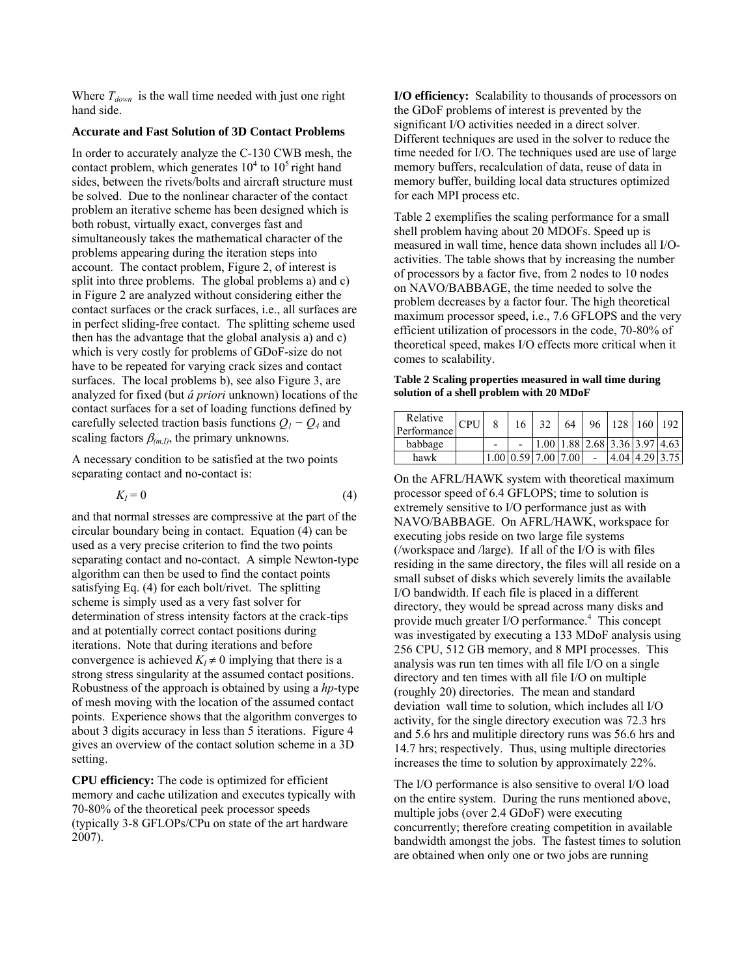Where  $T_{down}$  is the wall time needed with just one right hand side.

# **Accurate and Fast Solution of 3D Contact Problems**

In order to accurately analyze the C-130 CWB mesh, the contact problem, which generates  $10^4$  to  $10^5$  right hand sides, between the rivets/bolts and aircraft structure must be solved. Due to the nonlinear character of the contact problem an iterative scheme has been designed which is both robust, virtually exact, converges fast and simultaneously takes the mathematical character of the problems appearing during the iteration steps into account. The contact problem, Figure 2, of interest is split into three problems. The global problems a) and c) in Figure 2 are analyzed without considering either the contact surfaces or the crack surfaces, i.e., all surfaces are in perfect sliding-free contact. The splitting scheme used then has the advantage that the global analysis a) and c) which is very costly for problems of GDoF-size do not have to be repeated for varying crack sizes and contact surfaces. The local problems b), see also Figure 3, are analyzed for fixed (but *á priori* unknown) locations of the contact surfaces for a set of loading functions defined by carefully selected traction basis functions  $Q_1 - Q_4$  and scaling factors  $\beta_{(m,I)}$ , the primary unknowns.

A necessary condition to be satisfied at the two points separating contact and no-contact is:

$$
K_I = 0 \tag{4}
$$

and that normal stresses are compressive at the part of the circular boundary being in contact. Equation (4) can be used as a very precise criterion to find the two points separating contact and no-contact. A simple Newton-type algorithm can then be used to find the contact points satisfying Eq. (4) for each bolt/rivet. The splitting scheme is simply used as a very fast solver for determination of stress intensity factors at the crack-tips and at potentially correct contact positions during iterations. Note that during iterations and before convergence is achieved  $K_I \neq 0$  implying that there is a strong stress singularity at the assumed contact positions. Robustness of the approach is obtained by using a *hp*-type of mesh moving with the location of the assumed contact points. Experience shows that the algorithm converges to about 3 digits accuracy in less than 5 iterations. Figure 4 gives an overview of the contact solution scheme in a 3D setting.

**CPU efficiency:** The code is optimized for efficient memory and cache utilization and executes typically with 70-80% of the theoretical peek processor speeds (typically 3-8 GFLOPs/CPu on state of the art hardware 2007).

**I/O efficiency:** Scalability to thousands of processors on the GDoF problems of interest is prevented by the significant I/O activities needed in a direct solver. Different techniques are used in the solver to reduce the time needed for I/O. The techniques used are use of large memory buffers, recalculation of data, reuse of data in memory buffer, building local data structures optimized for each MPI process etc.

Table 2 exemplifies the scaling performance for a small shell problem having about 20 MDOFs. Speed up is measured in wall time, hence data shown includes all I/Oactivities. The table shows that by increasing the number of processors by a factor five, from 2 nodes to 10 nodes on NAVO/BABBAGE, the time needed to solve the problem decreases by a factor four. The high theoretical maximum processor speed, i.e., 7.6 GFLOPS and the very efficient utilization of processors in the code, 70-80% of theoretical speed, makes I/O effects more critical when it comes to scalability.

#### **Table 2 Scaling properties measured in wall time during solution of a shell problem with 20 MDoF**

| Relative<br>Performance | <b>CPU</b> | 16 |                                           | 64 |  | 96   128   160   192 |                |
|-------------------------|------------|----|-------------------------------------------|----|--|----------------------|----------------|
| babbage                 |            |    | $1.00$   1.88   2.68   3.36   3.97   4.63 |    |  |                      |                |
| hawk                    |            |    | $1.00 \mid 0.59 \mid 7.00 \mid 7.00 \mid$ |    |  |                      | 4.04 4.29 3.75 |

On the AFRL/HAWK system with theoretical maximum processor speed of 6.4 GFLOPS; time to solution is extremely sensitive to I/O performance just as with NAVO/BABBAGE. On AFRL/HAWK, workspace for executing jobs reside on two large file systems (/workspace and /large). If all of the I/O is with files residing in the same directory, the files will all reside on a small subset of disks which severely limits the available I/O bandwidth. If each file is placed in a different directory, they would be spread across many disks and provide much greater I/O performance.<sup>4</sup> This concept was investigated by executing a 133 MDoF analysis using 256 CPU, 512 GB memory, and 8 MPI processes. This analysis was run ten times with all file I/O on a single directory and ten times with all file I/O on multiple (roughly 20) directories. The mean and standard deviation wall time to solution, which includes all I/O activity, for the single directory execution was 72.3 hrs and 5.6 hrs and mulitiple directory runs was 56.6 hrs and 14.7 hrs; respectively. Thus, using multiple directories increases the time to solution by approximately 22%.

The I/O performance is also sensitive to overal I/O load on the entire system. During the runs mentioned above, multiple jobs (over 2.4 GDoF) were executing concurrently; therefore creating competition in available bandwidth amongst the jobs. The fastest times to solution are obtained when only one or two jobs are running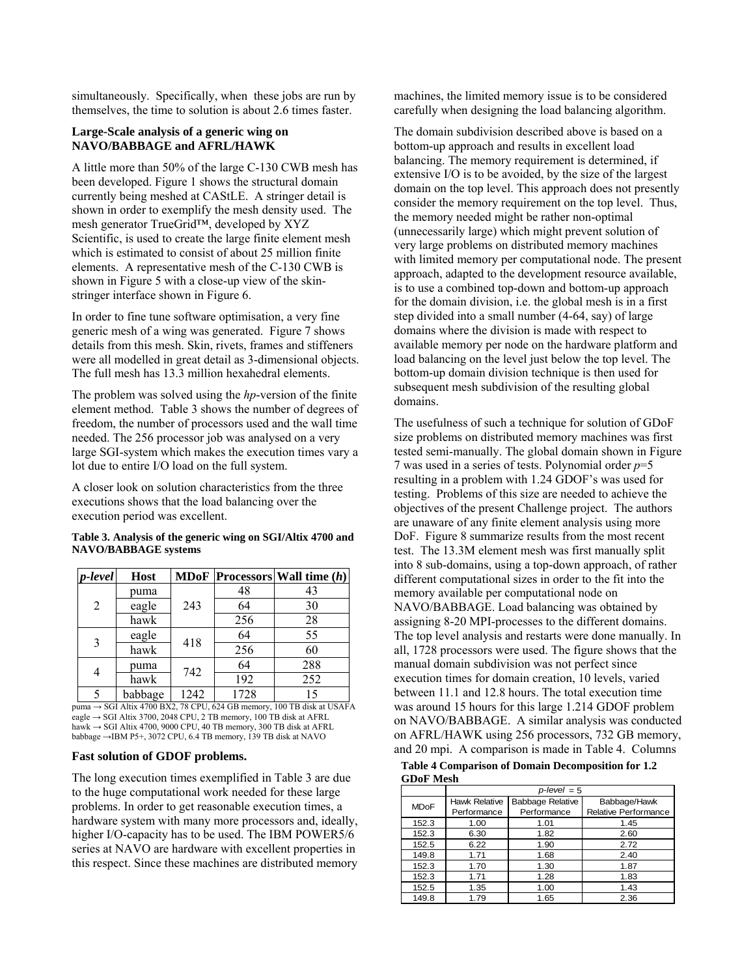simultaneously. Specifically, when these jobs are run by themselves, the time to solution is about 2.6 times faster.

### **Large-Scale analysis of a generic wing on NAVO/BABBAGE and AFRL/HAWK**

A little more than 50% of the large C-130 CWB mesh has been developed. Figure 1 shows the structural domain currently being meshed at CAStLE. A stringer detail is shown in order to exemplify the mesh density used. The mesh generator TrueGrid™, developed by XYZ Scientific, is used to create the large finite element mesh which is estimated to consist of about 25 million finite elements. A representative mesh of the C-130 CWB is shown in Figure 5 with a close-up view of the skinstringer interface shown in Figure 6.

In order to fine tune software optimisation, a very fine generic mesh of a wing was generated. Figure 7 shows details from this mesh. Skin, rivets, frames and stiffeners were all modelled in great detail as 3-dimensional objects. The full mesh has 13.3 million hexahedral elements.

The problem was solved using the *hp*-version of the finite element method. Table 3 shows the number of degrees of freedom, the number of processors used and the wall time needed. The 256 processor job was analysed on a very large SGI-system which makes the execution times vary a lot due to entire I/O load on the full system.

A closer look on solution characteristics from the three executions shows that the load balancing over the execution period was excellent.

#### **Table 3. Analysis of the generic wing on SGI/Altix 4700 and NAVO/BABBAGE systems**

| <i>p-level</i> | <b>Host</b> |      |      | <b>MDoF Processors Wall time</b> $(h)$ |
|----------------|-------------|------|------|----------------------------------------|
| 2              | puma        |      | 48   | 43                                     |
|                | eagle       | 243  | 64   | 30                                     |
|                | hawk        |      | 256  | 28                                     |
| 3              | eagle       | 418  | 64   | 55                                     |
|                | hawk        |      | 256  | 60                                     |
|                | puma        |      | 64   | 288                                    |
| 4              | hawk        | 742  | 192  | 252                                    |
| 5              | babbage     | 1242 | 1728 | 15                                     |

puma → SGI Altix 4700 BX2, 78 CPU, 624 GB memory, 100 TB disk at USAFA eagle  $\rightarrow$  SGI Altix 3700, 2048 CPU, 2 TB memory, 100 TB disk at AFRL hawk  $\rightarrow$  SGI Altix 4700, 9000 CPU, 40 TB memory, 300 TB disk at AFRL babbage →IBM P5+, 3072 CPU, 6.4 TB memory, 139 TB disk at NAVO

### **Fast solution of GDOF problems.**

The long execution times exemplified in Table 3 are due to the huge computational work needed for these large problems. In order to get reasonable execution times, a hardware system with many more processors and, ideally, higher I/O-capacity has to be used. The IBM POWER5/6 series at NAVO are hardware with excellent properties in this respect. Since these machines are distributed memory machines, the limited memory issue is to be considered carefully when designing the load balancing algorithm.

The domain subdivision described above is based on a bottom-up approach and results in excellent load balancing. The memory requirement is determined, if extensive I/O is to be avoided, by the size of the largest domain on the top level. This approach does not presently consider the memory requirement on the top level. Thus, the memory needed might be rather non-optimal (unnecessarily large) which might prevent solution of very large problems on distributed memory machines with limited memory per computational node. The present approach, adapted to the development resource available, is to use a combined top-down and bottom-up approach for the domain division, i.e. the global mesh is in a first step divided into a small number (4-64, say) of large domains where the division is made with respect to available memory per node on the hardware platform and load balancing on the level just below the top level. The bottom-up domain division technique is then used for subsequent mesh subdivision of the resulting global domains.

The usefulness of such a technique for solution of GDoF size problems on distributed memory machines was first tested semi-manually. The global domain shown in Figure 7 was used in a series of tests. Polynomial order *p*=5 resulting in a problem with 1.24 GDOF's was used for testing. Problems of this size are needed to achieve the objectives of the present Challenge project. The authors are unaware of any finite element analysis using more DoF. Figure 8 summarize results from the most recent test. The 13.3M element mesh was first manually split into 8 sub-domains, using a top-down approach, of rather different computational sizes in order to the fit into the memory available per computational node on NAVO/BABBAGE. Load balancing was obtained by assigning 8-20 MPI-processes to the different domains. The top level analysis and restarts were done manually. In all, 1728 processors were used. The figure shows that the manual domain subdivision was not perfect since execution times for domain creation, 10 levels, varied between 11.1 and 12.8 hours. The total execution time was around 15 hours for this large 1.214 GDOF problem on NAVO/BABBAGE. A similar analysis was conducted on AFRL/HAWK using 256 processors, 732 GB memory, and 20 mpi. A comparison is made in Table 4. Columns

**Table 4 Comparison of Domain Decomposition for 1.2 GDoF Mesh** 

|             | $p$ -level = 5 |                         |                      |  |  |  |  |
|-------------|----------------|-------------------------|----------------------|--|--|--|--|
| <b>MDoF</b> | Hawk Relative  | <b>Babbage Relative</b> | Babbage/Hawk         |  |  |  |  |
|             | Performance    | Performance             | Relative Performance |  |  |  |  |
| 152.3       | 1.00           | 1.01                    | 1.45                 |  |  |  |  |
| 152.3       | 6.30           | 1.82                    | 2.60                 |  |  |  |  |
| 152.5       | 6.22           | 1.90                    | 2.72                 |  |  |  |  |
| 149.8       | 1.71           | 1.68                    | 2.40                 |  |  |  |  |
| 152.3       | 1.70           | 1.30                    | 1.87                 |  |  |  |  |
| 152.3       | 1.71           | 1.28                    | 1.83                 |  |  |  |  |
| 152.5       | 1.35           | 1.00                    | 1.43                 |  |  |  |  |
| 149.8       | 1.79           | 1.65                    | 2.36                 |  |  |  |  |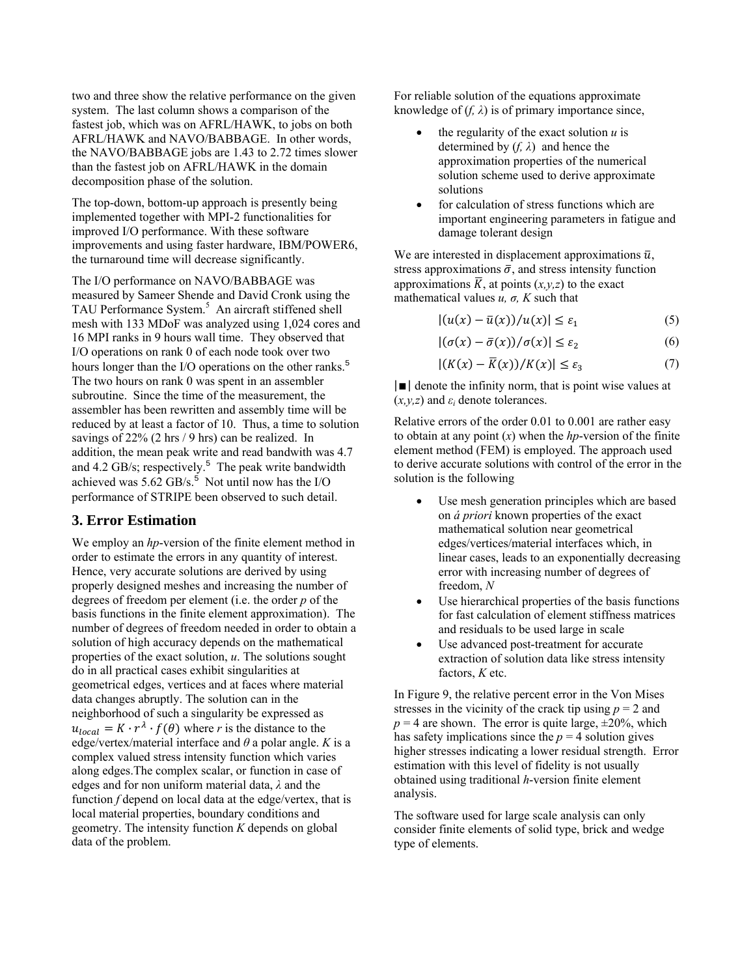two and three show the relative performance on the given system. The last column shows a comparison of the fastest job, which was on AFRL/HAWK, to jobs on both AFRL/HAWK and NAVO/BABBAGE. In other words, the NAVO/BABBAGE jobs are 1.43 to 2.72 times slower than the fastest job on AFRL/HAWK in the domain decomposition phase of the solution.

The top-down, bottom-up approach is presently being implemented together with MPI-2 functionalities for improved I/O performance. With these software improvements and using faster hardware, IBM/POWER6, the turnaround time will decrease significantly.

The I/O performance on NAVO/BABBAGE was measured by Sameer Shende and David Cronk using the TAU Performance System.<sup>5</sup> An aircraft stiffened shell mesh with 133 MDoF was analyzed using 1,024 cores and 16 MPI ranks in 9 hours wall time. They observed that I/O operations on rank 0 of each node took over two hours longer than the I/O operations on the other ranks.<sup>5</sup> The two hours on rank 0 was spent in an assembler subroutine. Since the time of the measurement, the assembler has been rewritten and assembly time will be reduced by at least a factor of 10. Thus, a time to solution savings of 22% (2 hrs / 9 hrs) can be realized. In addition, the mean peak write and read bandwith was 4.7 and  $4.2$  GB/s; respectively.<sup>5</sup> The peak write bandwidth achieved was  $5.62$  GB/s.<sup>5</sup> Not until now has the I/O performance of STRIPE been observed to such detail.

# **3. Error Estimation**

We employ an *hp*-version of the finite element method in order to estimate the errors in any quantity of interest. Hence, very accurate solutions are derived by using properly designed meshes and increasing the number of degrees of freedom per element (i.e. the order *p* of the basis functions in the finite element approximation). The number of degrees of freedom needed in order to obtain a solution of high accuracy depends on the mathematical properties of the exact solution, *u*. The solutions sought do in all practical cases exhibit singularities at geometrical edges, vertices and at faces where material data changes abruptly. The solution can in the neighborhood of such a singularity be expressed as  $u_{local} = K \cdot r^{\lambda} \cdot f(\theta)$  where *r* is the distance to the edge/vertex/material interface and  $\theta$  a polar angle. *K* is a complex valued stress intensity function which varies along edges.The complex scalar, or function in case of edges and for non uniform material data, *λ* and the function *f* depend on local data at the edge/vertex, that is local material properties, boundary conditions and geometry. The intensity function *K* depends on global data of the problem.

For reliable solution of the equations approximate knowledge of  $(f, \lambda)$  is of primary importance since,

- the regularity of the exact solution  $u$  is determined by  $(f, \lambda)$  and hence the approximation properties of the numerical solution scheme used to derive approximate solutions
- for calculation of stress functions which are important engineering parameters in fatigue and damage tolerant design

We are interested in displacement approximations  $\bar{u}$ , stress approximations  $\bar{\sigma}$ , and stress intensity function approximations  $\overline{K}$ , at points  $(x, y, z)$  to the exact mathematical values  $u$ ,  $\sigma$ ,  $K$  such that

$$
|(u(x) - \bar{u}(x))/u(x)| \le \varepsilon_1 \tag{5}
$$

$$
|(\sigma(x) - \bar{\sigma}(x))/\sigma(x)| \le \varepsilon_2 \tag{6}
$$

$$
|(K(x) - \overline{K}(x))/K(x)| \le \varepsilon_3 \tag{7}
$$

 $|\blacksquare|$  denote the infinity norm, that is point wise values at  $(x, y, z)$  and  $\varepsilon_i$  denote tolerances.

Relative errors of the order 0.01 to 0.001 are rather easy to obtain at any point (*x*) when the *hp*-version of the finite element method (FEM) is employed. The approach used to derive accurate solutions with control of the error in the solution is the following

- Use mesh generation principles which are based on *á priori* known properties of the exact mathematical solution near geometrical edges/vertices/material interfaces which, in linear cases, leads to an exponentially decreasing error with increasing number of degrees of freedom, *N*
- Use hierarchical properties of the basis functions for fast calculation of element stiffness matrices and residuals to be used large in scale
- Use advanced post-treatment for accurate extraction of solution data like stress intensity factors, *K* etc.

In Figure 9, the relative percent error in the Von Mises stresses in the vicinity of the crack tip using  $p = 2$  and  $p = 4$  are shown. The error is quite large,  $\pm 20\%$ , which has safety implications since the  $p = 4$  solution gives higher stresses indicating a lower residual strength. Error estimation with this level of fidelity is not usually obtained using traditional *h*-version finite element analysis.

The software used for large scale analysis can only consider finite elements of solid type, brick and wedge type of elements.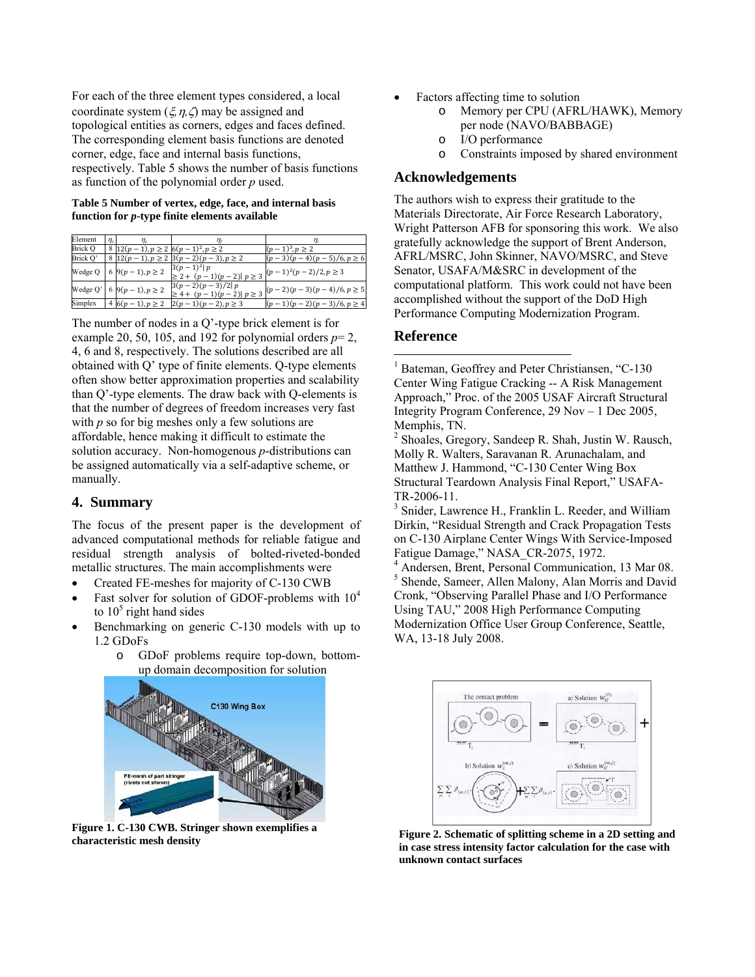For each of the three element types considered, a local coordinate system  $(\xi, \eta, \zeta)$  may be assigned and topological entities as corners, edges and faces defined. The corresponding element basis functions are denoted corner, edge, face and internal basis functions, respectively. Table 5 shows the number of basis functions as function of the polynomial order *p* used.

#### **Table 5 Number of vertex, edge, face, and internal basis function for** *p***-type finite elements available**

| Element        | $n_{v}$ | $n_{c}$                                  |                                                       |                              |
|----------------|---------|------------------------------------------|-------------------------------------------------------|------------------------------|
| <b>Brick O</b> |         | 8 $12(p-1), p \ge 2$ $6(p-1)^2, p \ge 2$ |                                                       | $(p-1)^3, p > 2$             |
| Brick O'       |         |                                          | 8 $12(p-1), p \ge 2$ $3(p-2)(p-3), p \ge 2$           | $(p-3)(p-4)(p-5)/6, p \ge 6$ |
| Wedge Q        |         | $9(p-1), p \ge 2$                        | $3(p-1)^2 p$<br>$\geq$ 2 + $(p-1)(p-2) p \geq 3$      | $(p-1)^2(p-2)/2, p \geq 3$   |
| Wedge Q'       |         | 6 9( $p-1$ ), $p \ge 2$                  | $3(p-2)(p-3)/2 p$<br>$\geq 4 + (p-1)(p-2)$ $p \geq 3$ | $(p-2)(p-3)(p-4)/6, p \ge 5$ |
| Simplex        |         | 4 $6(p-1)$ , $p \ge 2$                   | $2(p-1)(p-2)$ , $p > 3$                               | $(p-1)(p-2)(p-3)/6, p \ge 4$ |

The number of nodes in a Q'-type brick element is for example 20, 50, 105, and 192 for polynomial orders  $p=2$ , 4, 6 and 8, respectively. The solutions described are all obtained with Q' type of finite elements. Q-type elements often show better approximation properties and scalability than Q'-type elements. The draw back with Q-elements is that the number of degrees of freedom increases very fast with *p* so for big meshes only a few solutions are affordable, hence making it difficult to estimate the solution accuracy. Non-homogenous *p*-distributions can be assigned automatically via a self-adaptive scheme, or manually.

# **4. Summary**

The focus of the present paper is the development of advanced computational methods for reliable fatigue and residual strength analysis of bolted-riveted-bonded metallic structures. The main accomplishments were

- Created FE-meshes for majority of C-130 CWB
- Fast solver for solution of GDOF-problems with  $10^4$ to  $10<sup>5</sup>$  right hand sides
- Benchmarking on generic C-130 models with up to 1.2 GDoFs
	- o GDoF problems require top-down, bottomup domain decomposition for solution



**Figure 1. C-130 CWB. Stringer shown exemplifies a** 

- Factors affecting time to solution
	- o Memory per CPU (AFRL/HAWK), Memory per node (NAVO/BABBAGE)
	- o I/O performance
	- o Constraints imposed by shared environment

## **Acknowledgements**

The authors wish to express their gratitude to the Materials Directorate, Air Force Research Laboratory, Wright Patterson AFB for sponsoring this work. We also gratefully acknowledge the support of Brent Anderson, AFRL/MSRC, John Skinner, NAVO/MSRC, and Steve Senator, USAFA/M&SRC in development of the computational platform. This work could not have been accomplished without the support of the DoD High Performance Computing Modernization Program.

### **Reference**

 $\overline{a}$ 

<sup>1</sup> Bateman, Geoffrey and Peter Christiansen, "C-130 Center Wing Fatigue Cracking -- A Risk Management Approach," Proc. of the 2005 USAF Aircraft Structural Integrity Program Conference, 29 Nov – 1 Dec 2005, Memphis, TN.

<sup>2</sup> Shoales, Gregory, Sandeep R. Shah, Justin W. Rausch, Molly R. Walters, Saravanan R. Arunachalam, and Matthew J. Hammond, "C-130 Center Wing Box Structural Teardown Analysis Final Report," USAFA-TR-2006-11.

<sup>3</sup> Snider, Lawrence H., Franklin L. Reeder, and William Dirkin, "Residual Strength and Crack Propagation Tests on C-130 Airplane Center Wings With Service-Imposed Fatigue Damage," NASA\_CR-2075, 1972.

4 Andersen, Brent, Personal Communication, 13 Mar 08. <sup>5</sup> Shende, Sameer, Allen Malony, Alan Morris and David Cronk, "Observing Parallel Phase and I/O Performance Using TAU," 2008 High Performance Computing Modernization Office User Group Conference, Seattle, WA, 13-18 July 2008.



**characteristic mesh density characteristic mesh density characteristic mesh density** *Figure 2.* **Schematic of splitting scheme in a 2D setting and <br>
<b>Figure 2.** Schematic of splitting scheme in a 2D setting and <br> **Fi in case stress intensity factor calculation for the case with unknown contact surfaces**